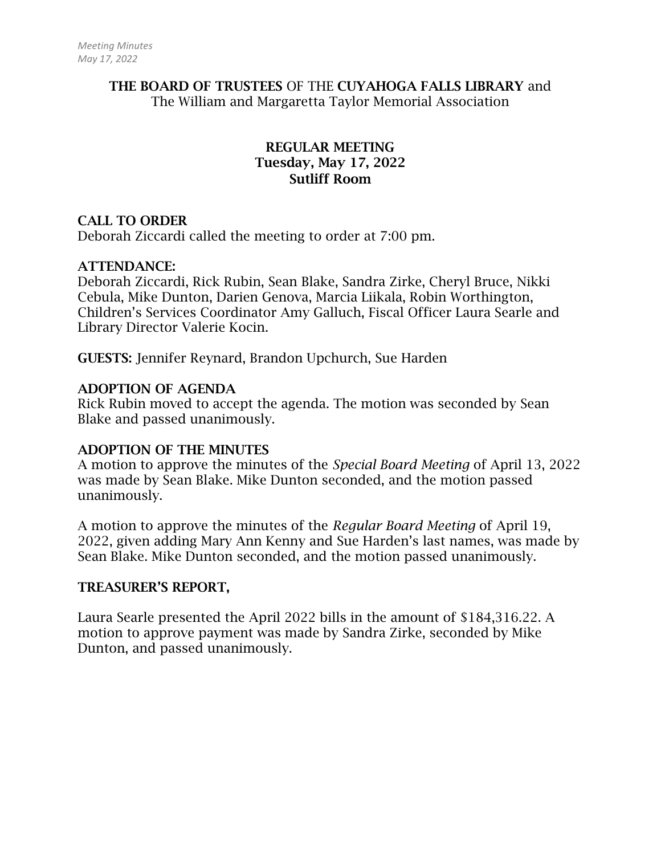## THE BOARD OF TRUSTEES OF THE CUYAHOGA FALLS LIBRARY and The William and Margaretta Taylor Memorial Association

## REGULAR MEETING Tuesday, May 17, 2022 Sutliff Room

## CALL TO ORDER

Deborah Ziccardi called the meeting to order at 7:00 pm.

### ATTENDANCE:

Deborah Ziccardi, Rick Rubin, Sean Blake, Sandra Zirke, Cheryl Bruce, Nikki Cebula, Mike Dunton, Darien Genova, Marcia Liikala, Robin Worthington, Children's Services Coordinator Amy Galluch, Fiscal Officer Laura Searle and Library Director Valerie Kocin.

GUESTS: Jennifer Reynard, Brandon Upchurch, Sue Harden

## ADOPTION OF AGENDA

Rick Rubin moved to accept the agenda. The motion was seconded by Sean Blake and passed unanimously.

### ADOPTION OF THE MINUTES

A motion to approve the minutes of the *Special Board Meeting* of April 13, 2022 was made by Sean Blake. Mike Dunton seconded, and the motion passed unanimously.

A motion to approve the minutes of the *Regular Board Meeting* of April 19, 2022, given adding Mary Ann Kenny and Sue Harden's last names, was made by Sean Blake. Mike Dunton seconded, and the motion passed unanimously.

### TREASURER'S REPORT,

Laura Searle presented the April 2022 bills in the amount of \$184,316.22. A motion to approve payment was made by Sandra Zirke, seconded by Mike Dunton, and passed unanimously.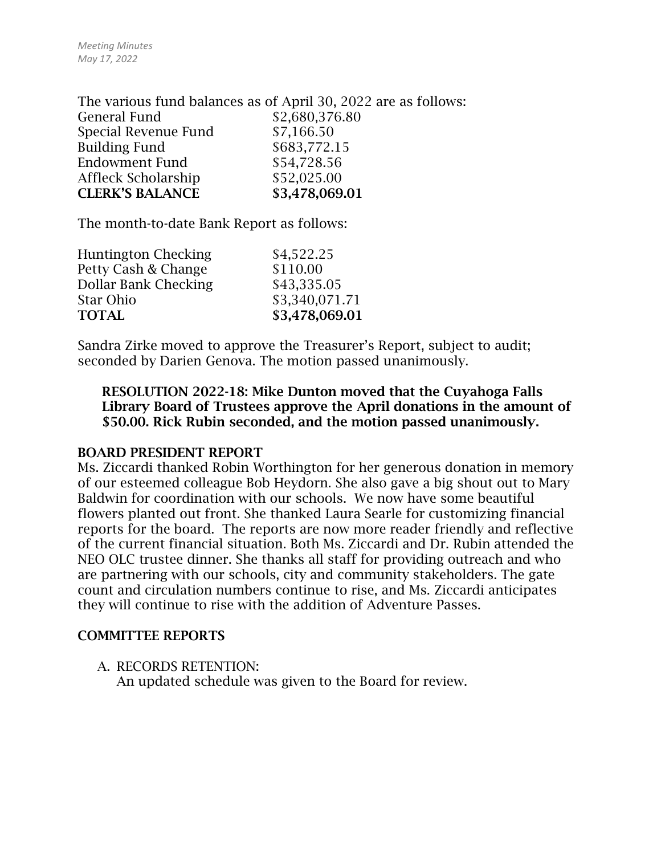The various fund balances as of April 30, 2022 are as follows: General Fund \$2,680,376.80 Special Revenue Fund \$7,166.50 Building Fund \$683,772.15 Endowment Fund \$54,728.56 Affleck Scholarship  $$52,025.00$ CLERK'S BALANCE \$3,478,069.01

The month-to-date Bank Report as follows:

| <b>Huntington Checking</b> | \$4,522.25     |
|----------------------------|----------------|
| Petty Cash & Change        | \$110.00       |
| Dollar Bank Checking       | \$43,335.05    |
| Star Ohio                  | \$3,340,071.71 |
| <b>TOTAL</b>               | \$3,478,069.01 |
|                            |                |

Sandra Zirke moved to approve the Treasurer's Report, subject to audit; seconded by Darien Genova. The motion passed unanimously.

RESOLUTION 2022-18: Mike Dunton moved that the Cuyahoga Falls Library Board of Trustees approve the April donations in the amount of \$50.00. Rick Rubin seconded, and the motion passed unanimously.

### BOARD PRESIDENT REPORT

Ms. Ziccardi thanked Robin Worthington for her generous donation in memory of our esteemed colleague Bob Heydorn. She also gave a big shout out to Mary Baldwin for coordination with our schools. We now have some beautiful flowers planted out front. She thanked Laura Searle for customizing financial reports for the board. The reports are now more reader friendly and reflective of the current financial situation. Both Ms. Ziccardi and Dr. Rubin attended the NEO OLC trustee dinner. She thanks all staff for providing outreach and who are partnering with our schools, city and community stakeholders. The gate count and circulation numbers continue to rise, and Ms. Ziccardi anticipates they will continue to rise with the addition of Adventure Passes.

### COMMITTEE REPORTS

A. RECORDS RETENTION: An updated schedule was given to the Board for review.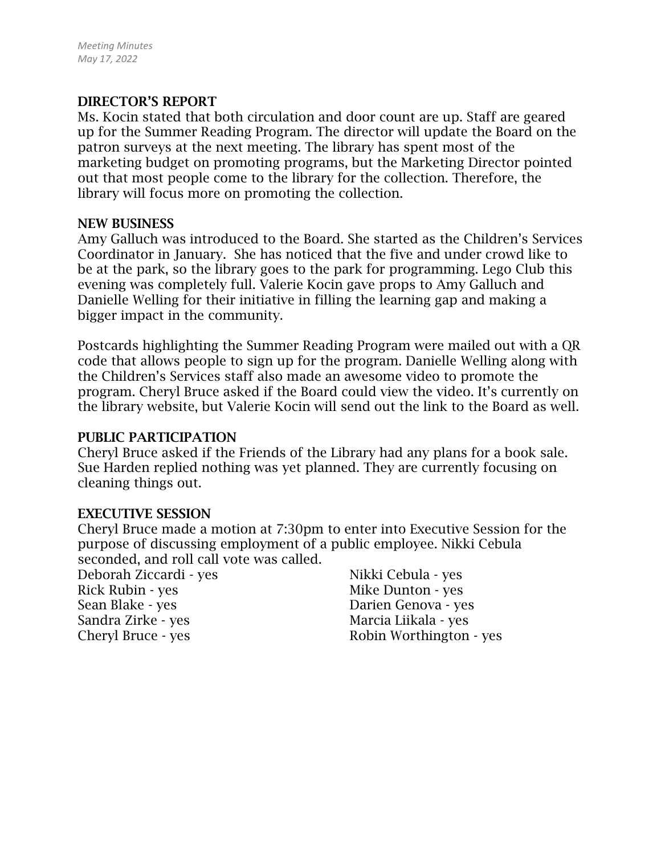## DIRECTOR'S REPORT

Ms. Kocin stated that both circulation and door count are up. Staff are geared up for the Summer Reading Program. The director will update the Board on the patron surveys at the next meeting. The library has spent most of the marketing budget on promoting programs, but the Marketing Director pointed out that most people come to the library for the collection. Therefore, the library will focus more on promoting the collection.

#### NEW BUSINESS

Amy Galluch was introduced to the Board. She started as the Children's Services Coordinator in January. She has noticed that the five and under crowd like to be at the park, so the library goes to the park for programming. Lego Club this evening was completely full. Valerie Kocin gave props to Amy Galluch and Danielle Welling for their initiative in filling the learning gap and making a bigger impact in the community.

Postcards highlighting the Summer Reading Program were mailed out with a QR code that allows people to sign up for the program. Danielle Welling along with the Children's Services staff also made an awesome video to promote the program. Cheryl Bruce asked if the Board could view the video. It's currently on the library website, but Valerie Kocin will send out the link to the Board as well.

### PUBLIC PARTICIPATION

Cheryl Bruce asked if the Friends of the Library had any plans for a book sale. Sue Harden replied nothing was yet planned. They are currently focusing on cleaning things out.

### EXECUTIVE SESSION

Cheryl Bruce made a motion at 7:30pm to enter into Executive Session for the purpose of discussing employment of a public employee. Nikki Cebula seconded, and roll call vote was called.

Deborah Ziccardi - yes Rick Rubin - yes Sean Blake - yes Sandra Zirke - yes Cheryl Bruce - yes

Nikki Cebula - yes Mike Dunton - yes Darien Genova - yes Marcia Liikala - yes Robin Worthington - yes